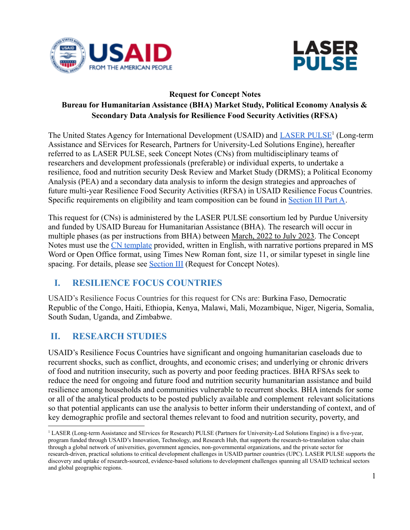



## **Request for Concept Notes Bureau for Humanitarian Assistance (BHA) Market Study, Political Economy Analysis & Secondary Data Analysis for Resilience Food Security Activities (RFSA)**

The United States Agency for International Development (USAID) and **[LASER PULSE](http://laserpulse.org)<sup>1</sup>** (Long-term Assistance and SErvices for Research, Partners for University-Led Solutions Engine), hereafter referred to as LASER PULSE, seek Concept Notes (CNs) from multidisciplinary teams of researchers and development professionals (preferable) or individual experts, to undertake a resilience, food and nutrition security Desk Review and Market Study (DRMS); a Political Economy Analysis (PEA) and a secondary data analysis to inform the design strategies and approaches of future multi-year Resilience Food Security Activities (RFSA) in USAID Resilience Focus Countries. Specific requirements on eligibility and team composition can be found in [Section III Part A.](#page-2-0)

This request for (CNs) is administered by the LASER PULSE consortium led by Purdue University and funded by USAID Bureau for Humanitarian Assistance (BHA). The research will occur in multiple phases (as per instructions from BHA) between March, 2022 to July 2023. The Concept Notes must use the [CN template](https://laserpulse.org/wp-content/uploads/2022/01/Concept-Note-Template.docx) provided, written in English, with narrative portions prepared in MS Word or Open Office format, using Times New Roman font, size 11, or similar typeset in single line spacing. For details, please see [Section III](#page-2-1) (Request for Concept Notes).

# <span id="page-0-0"></span>**I. RESILIENCE FOCUS COUNTRIES**

USAID's Resilience Focus Countries for this request for CNs are: Burkina Faso, Democratic Republic of the Congo, Haiti, Ethiopia, Kenya, Malawi, Mali, Mozambique, Niger, Nigeria, Somalia, South Sudan, Uganda, and Zimbabwe.

# **II. RESEARCH STUDIES**

USAID's Resilience Focus Countries have significant and ongoing humanitarian caseloads due to recurrent shocks, such as conflict, droughts, and economic crises; and underlying or chronic drivers of food and nutrition insecurity, such as poverty and poor feeding practices. BHA RFSAs seek to reduce the need for ongoing and future food and nutrition security humanitarian assistance and build resilience among households and communities vulnerable to recurrent shocks. BHA intends for some or all of the analytical products to be posted publicly available and complement relevant solicitations so that potential applicants can use the analysis to better inform their understanding of context, and of key demographic profile and sectoral themes relevant to food and nutrition security, poverty, and

<sup>&</sup>lt;sup>1</sup> LASER (Long-term Assistance and SErvices for Research) PULSE (Partners for University-Led Solutions Engine) is a five-year, program funded through USAID's Innovation, Technology, and Research Hub, that supports the research-to-translation value chain through a global network of universities, government agencies, non-governmental organizations, and the private sector for research-driven, practical solutions to critical development challenges in USAID partner countries (UPC). LASER PULSE supports the discovery and uptake of research-sourced, evidence-based solutions to development challenges spanning all USAID technical sectors and global geographic regions.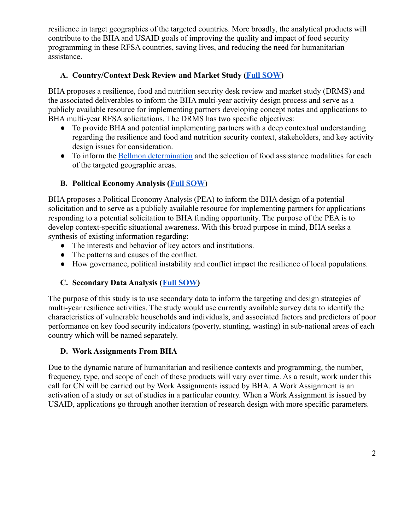resilience in target geographies of the targeted countries. More broadly, the analytical products will contribute to the BHA and USAID goals of improving the quality and impact of food security programming in these RFSA countries, saving lives, and reducing the need for humanitarian assistance.

#### **A. Country/Context Desk Review and Market Study (Full [SOW\)](https://laserpulse.org/wp-content/uploads/2022/01/Desk-Review-and-Market-Study-SOW.pdf)**

BHA proposes a resilience, food and nutrition security desk review and market study (DRMS) and the associated deliverables to inform the BHA multi-year activity design process and serve as a publicly available resource for implementing partners developing concept notes and applications to BHA multi-year RFSA solicitations. The DRMS has two specific objectives:

- To provide BHA and potential implementing partners with a deep contextual understanding regarding the resilience and food and nutrition security context, stakeholders, and key activity design issues for consideration.
- To inform the [Bellmon determination](https://pdf.usaid.gov/pdf_docs/PA00TQVT.pdf) and the selection of food assistance modalities for each of the targeted geographic areas.

## **B. Political Economy Analysis ([Full SOW](https://laserpulse.org/wp-content/uploads/2022/01/Political-Economy-Analysis-SOW.pdf))**

BHA proposes a Political Economy Analysis (PEA) to inform the BHA design of a potential solicitation and to serve as a publicly available resource for implementing partners for applications responding to a potential solicitation to BHA funding opportunity. The purpose of the PEA is to develop context-specific situational awareness. With this broad purpose in mind, BHA seeks a synthesis of existing information regarding:

- The interests and behavior of key actors and institutions.
- The patterns and causes of the conflict.
- How governance, political instability and conflict impact the resilience of local populations.

#### **C. Secondary Data Analysis ([Full SOW\)](https://laserpulse.org/wp-content/uploads/2022/01/Secondary-Data-Analysis-SOW.pdf)**

The purpose of this study is to use secondary data to inform the targeting and design strategies of multi-year resilience activities. The study would use currently available survey data to identify the characteristics of vulnerable households and individuals, and associated factors and predictors of poor performance on key food security indicators (poverty, stunting, wasting) in sub-national areas of each country which will be named separately.

#### <span id="page-1-0"></span>**D. Work Assignments From BHA**

Due to the dynamic nature of humanitarian and resilience contexts and programming, the number, frequency, type, and scope of each of these products will vary over time. As a result, work under this call for CN will be carried out by Work Assignments issued by BHA. A Work Assignment is an activation of a study or set of studies in a particular country. When a Work Assignment is issued by USAID, applications go through another iteration of research design with more specific parameters.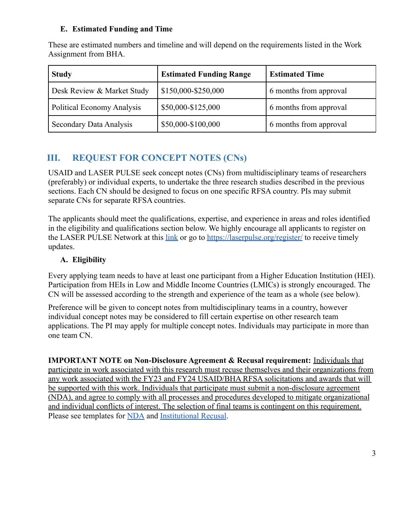#### **E. Estimated Funding and Time**

These are estimated numbers and timeline and will depend on the requirements listed in the Work Assignment from BHA.

| <b>Study</b>                      | <b>Estimated Funding Range</b> | <b>Estimated Time</b>  |
|-----------------------------------|--------------------------------|------------------------|
| Desk Review & Market Study        | \$150,000-\$250,000            | 6 months from approval |
| <b>Political Economy Analysis</b> | \$50,000-\$125,000             | 6 months from approval |
| Secondary Data Analysis           | \$50,000-\$100,000             | 6 months from approval |

# <span id="page-2-1"></span>**III. REQUEST FOR CONCEPT NOTES (CNs)**

USAID and LASER PULSE seek concept notes (CNs) from multidisciplinary teams of researchers (preferably) or individual experts, to undertake the three research studies described in the previous sections. Each CN should be designed to focus on one specific RFSA country. PIs may submit separate CNs for separate RFSA countries.

The applicants should meet the qualifications, expertise, and experience in areas and roles identified in the eligibility and qualifications section below. We highly encourage all applicants to register on the LASER PULSE Network at this [link](http://laserpulse.org/register/) or go to <https://laserpulse.org/register/> to receive timely updates.

## <span id="page-2-0"></span>**A. Eligibility**

Every applying team needs to have at least one participant from a Higher Education Institution (HEI). Participation from HEIs in Low and Middle Income Countries (LMICs) is strongly encouraged. The CN will be assessed according to the strength and experience of the team as a whole (see below).

Preference will be given to concept notes from multidisciplinary teams in a country, however individual concept notes may be considered to fill certain expertise on other research team applications. The PI may apply for multiple concept notes. Individuals may participate in more than one team CN.

**IMPORTANT NOTE on Non-Disclosure Agreement & Recusal requirement:** Individuals that participate in work associated with this research must recuse themselves and their organizations from any work associated with the FY23 and FY24 USAID/BHA RFSA solicitations and awards that will be supported with this work. Individuals that participate must submit a non-disclosure agreement (NDA), and agree to comply with all processes and procedures developed to mitigate organizational and individual conflicts of interest. The selection of final teams is contingent on this requirement. Please see templates for [NDA](https://laserpulse.org/wp-content/uploads/2022/01/Individual-NDA.docx) and [Institutional Recusal](https://laserpulse.org/wp-content/uploads/2022/01/Institutional-Recusal.docx).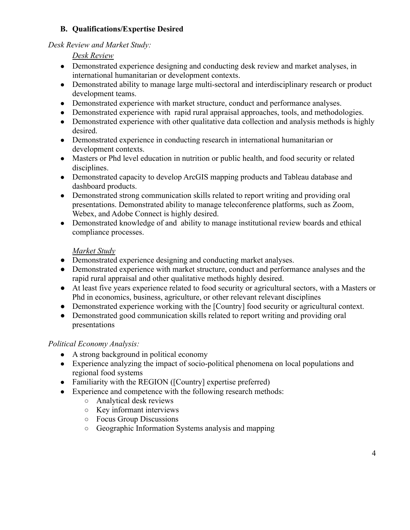#### **B. Qualifications/Expertise Desired**

#### *Desk Review and Market Study:*

*Desk Review*

- Demonstrated experience designing and conducting desk review and market analyses, in international humanitarian or development contexts.
- Demonstrated ability to manage large multi-sectoral and interdisciplinary research or product development teams.
- Demonstrated experience with market structure, conduct and performance analyses.
- Demonstrated experience with rapid rural appraisal approaches, tools, and methodologies.
- Demonstrated experience with other qualitative data collection and analysis methods is highly desired.
- Demonstrated experience in conducting research in international humanitarian or development contexts.
- Masters or Phd level education in nutrition or public health, and food security or related disciplines.
- Demonstrated capacity to develop ArcGIS mapping products and Tableau database and dashboard products.
- Demonstrated strong communication skills related to report writing and providing oral presentations. Demonstrated ability to manage teleconference platforms, such as Zoom, Webex, and Adobe Connect is highly desired.
- Demonstrated knowledge of and ability to manage institutional review boards and ethical compliance processes.

## *Market Study*

- Demonstrated experience designing and conducting market analyses.
- Demonstrated experience with market structure, conduct and performance analyses and the rapid rural appraisal and other qualitative methods highly desired.
- At least five years experience related to food security or agricultural sectors, with a Masters or Phd in economics, business, agriculture, or other relevant relevant disciplines
- Demonstrated experience working with the [Country] food security or agricultural context.
- Demonstrated good communication skills related to report writing and providing oral presentations

## *Political Economy Analysis:*

- A strong background in political economy
- Experience analyzing the impact of socio-political phenomena on local populations and regional food systems
- Familiarity with the REGION ([Country] expertise preferred)
- Experience and competence with the following research methods:
	- Analytical desk reviews
	- Key informant interviews
	- Focus Group Discussions
	- Geographic Information Systems analysis and mapping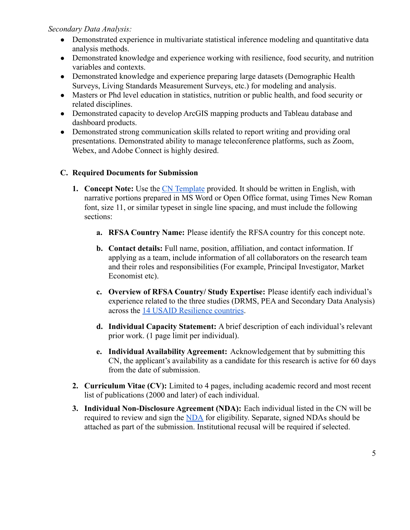*Secondary Data Analysis:*

- Demonstrated experience in multivariate statistical inference modeling and quantitative data analysis methods.
- Demonstrated knowledge and experience working with resilience, food security, and nutrition variables and contexts.
- Demonstrated knowledge and experience preparing large datasets (Demographic Health Surveys, Living Standards Measurement Surveys, etc.) for modeling and analysis.
- Masters or Phd level education in statistics, nutrition or public health, and food security or related disciplines.
- Demonstrated capacity to develop ArcGIS mapping products and Tableau database and dashboard products.
- Demonstrated strong communication skills related to report writing and providing oral presentations. Demonstrated ability to manage teleconference platforms, such as Zoom, Webex, and Adobe Connect is highly desired.

#### **C. Required Documents for Submission**

- **1. Concept Note:** Use the [CN Template](https://laserpulse.org/wp-content/uploads/2022/01/Concept-Note-Template.docx) provided. It should be written in English, with narrative portions prepared in MS Word or Open Office format, using Times New Roman font, size 11, or similar typeset in single line spacing, and must include the following sections:
	- **a. RFSA Country Name:** Please identify the RFSA country for this concept note.
	- **b. Contact details:** Full name, position, affiliation, and contact information. If applying as a team, include information of all collaborators on the research team and their roles and responsibilities (For example, Principal Investigator, Market Economist etc).
	- **c. Overview of RFSA Country/ Study Expertise:** Please identify each individual's experience related to the three studies (DRMS, PEA and Secondary Data Analysis) across the [14 USAID Resilience countries](#page-0-0).
	- **d. Individual Capacity Statement:** A brief description of each individual's relevant prior work. (1 page limit per individual).
	- **e. Individual Availability Agreement:** Acknowledgement that by submitting this CN, the applicant's availability as a candidate for this research is active for 60 days from the date of submission.
- **2. Curriculum Vitae (CV):** Limited to 4 pages, including academic record and most recent list of publications (2000 and later) of each individual.
- **3. Individual Non-Disclosure Agreement (NDA):** Each individual listed in the CN will be required to review and sign the [NDA](https://laserpulse.org/wp-content/uploads/2022/01/Individual-NDA.docx) for eligibility. Separate, signed NDAs should be attached as part of the submission. Institutional recusal will be required if selected.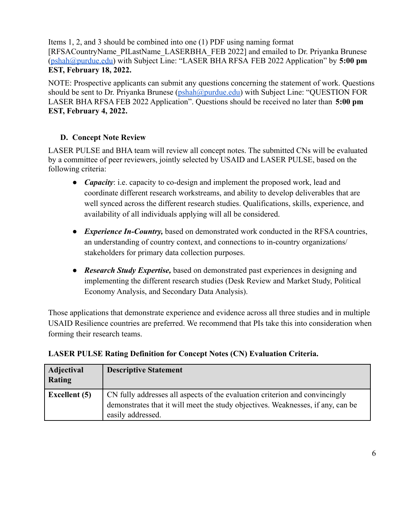Items 1, 2, and 3 should be combined into one (1) PDF using naming format [RFSACountryName\_PILastName\_LASERBHA\_FEB 2022] and emailed to Dr. Priyanka Brunese ([pshah@purdue.edu\)](mailto:pshah@purdue.edu) with Subject Line: "LASER BHA RFSA FEB 2022 Application" by **5:00 pm EST, February 18, 2022.**

NOTE: Prospective applicants can submit any questions concerning the statement of work. Questions should be sent to Dr. Privanka Brunese ([pshah@purdue.edu\)](mailto:pshah@purdue.edu) with Subject Line: "OUESTION FOR LASER BHA RFSA FEB 2022 Application". Questions should be received no later than **5:00 pm EST, February 4, 2022.**

#### **D. Concept Note Review**

LASER PULSE and BHA team will review all concept notes. The submitted CNs will be evaluated by a committee of peer reviewers, jointly selected by USAID and LASER PULSE, based on the following criteria:

- *Capacity*: i.e. capacity to co-design and implement the proposed work, lead and coordinate different research workstreams, and ability to develop deliverables that are well synced across the different research studies. Qualifications, skills, experience, and availability of all individuals applying will all be considered.
- *Experience In-Country*, based on demonstrated work conducted in the RFSA countries, an understanding of country context, and connections to in-country organizations/ stakeholders for primary data collection purposes.
- *● Research Study Expertise,* based on demonstrated past experiences in designing and implementing the different research studies (Desk Review and Market Study, Political Economy Analysis, and Secondary Data Analysis).

Those applications that demonstrate experience and evidence across all three studies and in multiple USAID Resilience countries are preferred. We recommend that PIs take this into consideration when forming their research teams.

| Adjectival<br><b>Rating</b> | <b>Descriptive Statement</b>                                                                                                                                                        |
|-----------------------------|-------------------------------------------------------------------------------------------------------------------------------------------------------------------------------------|
| <b>Excellent</b> (5)        | CN fully addresses all aspects of the evaluation criterion and convincingly<br>demonstrates that it will meet the study objectives. Weaknesses, if any, can be<br>easily addressed. |

#### **LASER PULSE Rating Definition for Concept Notes (CN) Evaluation Criteria.**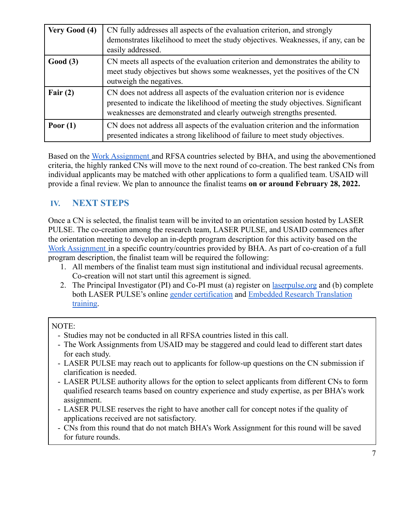| Very Good (4) | CN fully addresses all aspects of the evaluation criterion, and strongly<br>demonstrates likelihood to meet the study objectives. Weaknesses, if any, can be<br>easily addressed.                                                         |
|---------------|-------------------------------------------------------------------------------------------------------------------------------------------------------------------------------------------------------------------------------------------|
| Good(3)       | CN meets all aspects of the evaluation criterion and demonstrates the ability to<br>meet study objectives but shows some weaknesses, yet the positives of the CN<br>outweigh the negatives.                                               |
| Fair $(2)$    | CN does not address all aspects of the evaluation criterion nor is evidence<br>presented to indicate the likelihood of meeting the study objectives. Significant<br>weaknesses are demonstrated and clearly outweigh strengths presented. |
| Poor $(1)$    | CN does not address all aspects of the evaluation criterion and the information<br>presented indicates a strong likelihood of failure to meet study objectives.                                                                           |

Based on the [Work Assignment](#page-1-0) and RFSA countries selected by BHA, and using the abovementioned criteria, the highly ranked CNs will move to the next round of co-creation. The best ranked CNs from individual applicants may be matched with other applications to form a qualified team. USAID will provide a final review. We plan to announce the finalist teams **on or around February 28, 2022.**

# **IV. NEXT STEPS**

Once a CN is selected, the finalist team will be invited to an orientation session hosted by LASER PULSE. The co-creation among the research team, LASER PULSE, and USAID commences after the orientation meeting to develop an in-depth program description for this activity based on the [Work Assignment](#page-1-0) in a specific country/countries provided by BHA. As part of co-creation of a full program description, the finalist team will be required the following:

- 1. All members of the finalist team must sign institutional and individual recusal agreements. Co-creation will not start until this agreement is signed.
- 2. The Principal Investigator (PI) and Co-PI must (a) register on laserpulse org and (b) complete both LASER PULSE's online [gender certification](https://laserpulse.org/course/gender-analysis-in-research-and-application/) and [Embedded Research Translation](https://laserpulse.org/course/laser-pulse-introduction-to-embedded-research-translation-training/) [training](https://laserpulse.org/course/laser-pulse-introduction-to-embedded-research-translation-training/).

#### NOTE:

- Studies may not be conducted in all RFSA countries listed in this call.
- The Work Assignments from USAID may be staggered and could lead to different start dates for each study.
- LASER PULSE may reach out to applicants for follow-up questions on the CN submission if clarification is needed.
- LASER PULSE authority allows for the option to select applicants from different CNs to form qualified research teams based on country experience and study expertise, as per BHA's work assignment.
- LASER PULSE reserves the right to have another call for concept notes if the quality of applications received are not satisfactory.
- CNs from this round that do not match BHA's Work Assignment for this round will be saved for future rounds.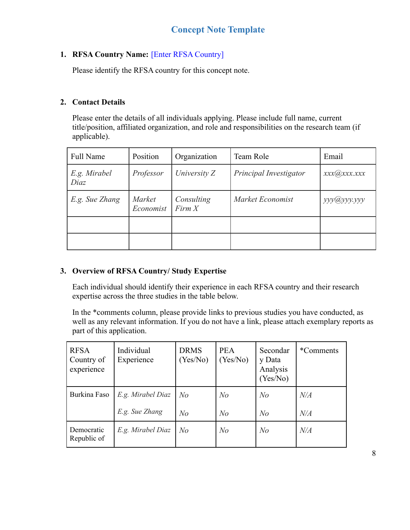## **1. RFSA Country Name:** [Enter RFSA Country]

Please identify the RFSA country for this concept note.

#### **2. Contact Details**

Please enter the details of all individuals applying. Please include full name, current title/position, affiliated organization, and role and responsibilities on the research team (if applicable).

| <b>Full Name</b>     | Position                   | Organization         | Team Role              | Email         |
|----------------------|----------------------------|----------------------|------------------------|---------------|
| E.g. Mirabel<br>Diaz | Professor                  | University Z         | Principal Investigator | xxx(a)xxx.xxx |
| E.g. Sue Zhang       | <i>Market</i><br>Economist | Consulting<br>Firm X | Market Economist       | ууу@ууу.ууу   |
|                      |                            |                      |                        |               |
|                      |                            |                      |                        |               |

#### **3. Overview of RFSA Country/ Study Expertise**

Each individual should identify their experience in each RFSA country and their research expertise across the three studies in the table below.

In the \*comments column, please provide links to previous studies you have conducted, as well as any relevant information. If you do not have a link, please attach exemplary reports as part of this application.

| <b>RFSA</b><br>Country of<br>experience | Individual<br>Experience | <b>DRMS</b><br>(Yes/No) | <b>PEA</b><br>(Yes/No) | Secondar<br>y Data<br>Analysis<br>(Yes/No) | *Comments |
|-----------------------------------------|--------------------------|-------------------------|------------------------|--------------------------------------------|-----------|
| Burkina Faso                            | E.g. Mirabel Diaz        | No                      | N o                    | N <sub>o</sub>                             | N/A       |
|                                         | E.g. Sue Zhang           | No                      | N <sub>O</sub>         | N <sub>o</sub>                             | N/A       |
| Democratic<br>Republic of               | E.g. Mirabel Diaz        | No                      | N <sub>O</sub>         | N <sub>o</sub>                             | N/A       |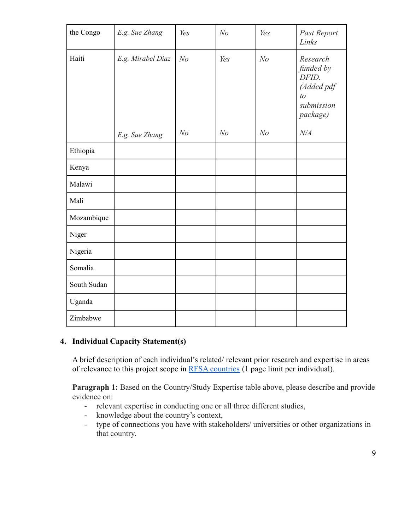| the Congo   | E.g. Sue Zhang    | Yes            | N <sub>o</sub> | Yes            | Past Report<br>Links                                                         |
|-------------|-------------------|----------------|----------------|----------------|------------------------------------------------------------------------------|
| Haiti       | E.g. Mirabel Diaz | N <sub>o</sub> | Yes            | N <sub>o</sub> | Research<br>funded by<br>DFID.<br>(Added pdf<br>to<br>submission<br>package) |
|             | E.g. Sue Zhang    | N <sub>o</sub> | N <sub>o</sub> | N <sub>o</sub> | $N\!/\!A$                                                                    |
| Ethiopia    |                   |                |                |                |                                                                              |
| Kenya       |                   |                |                |                |                                                                              |
| Malawi      |                   |                |                |                |                                                                              |
| Mali        |                   |                |                |                |                                                                              |
| Mozambique  |                   |                |                |                |                                                                              |
| Niger       |                   |                |                |                |                                                                              |
| Nigeria     |                   |                |                |                |                                                                              |
| Somalia     |                   |                |                |                |                                                                              |
| South Sudan |                   |                |                |                |                                                                              |
| Uganda      |                   |                |                |                |                                                                              |
| Zimbabwe    |                   |                |                |                |                                                                              |

#### **4. Individual Capacity Statement(s)**

A brief description of each individual's related/ relevant prior research and expertise in areas of relevance to this project scope in [RFSA countries](#page-0-0) (1 page limit per individual).

**Paragraph 1:** Based on the Country/Study Expertise table above, please describe and provide evidence on:

- relevant expertise in conducting one or all three different studies,
- knowledge about the country's context,
- type of connections you have with stakeholders/ universities or other organizations in that country.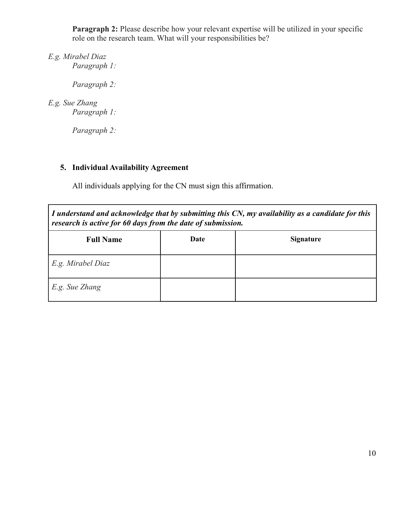**Paragraph 2:** Please describe how your relevant expertise will be utilized in your specific role on the research team. What will your responsibilities be?

*E.g. Mirabel Diaz Paragraph 1:*

*Paragraph 2:*

#### *E.g. Sue Zhang Paragraph 1:*

*Paragraph 2:*

## **5. Individual Availability Agreement**

All individuals applying for the CN must sign this affirmation.

| I understand and acknowledge that by submitting this CN, my availability as a candidate for this |  |
|--------------------------------------------------------------------------------------------------|--|
| research is active for 60 days from the date of submission.                                      |  |

| <b>Full Name</b>  | Date | <b>Signature</b> |
|-------------------|------|------------------|
| E.g. Mirabel Diaz |      |                  |
| $E.g.$ Sue Zhang  |      |                  |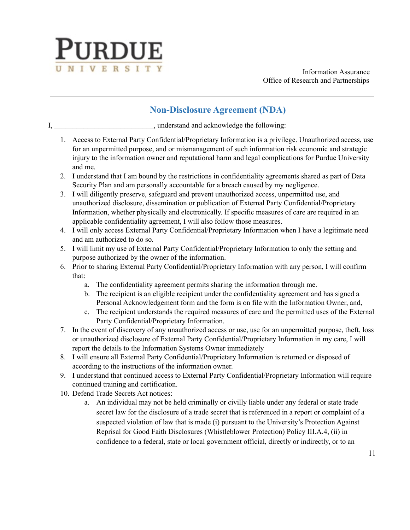

Information Assurance Office of Research and Partnerships

# **Non-Disclosure Agreement (NDA)**

I, understand and acknowledge the following:

- 1. Access to External Party Confidential/Proprietary Information is a privilege. Unauthorized access, use for an unpermitted purpose, and or mismanagement of such information risk economic and strategic injury to the information owner and reputational harm and legal complications for Purdue University and me.
- 2. I understand that I am bound by the restrictions in confidentiality agreements shared as part of Data Security Plan and am personally accountable for a breach caused by my negligence.
- 3. I will diligently preserve, safeguard and prevent unauthorized access, unpermitted use, and unauthorized disclosure, dissemination or publication of External Party Confidential/Proprietary Information, whether physically and electronically. If specific measures of care are required in an applicable confidentiality agreement, I will also follow those measures.
- 4. I will only access External Party Confidential/Proprietary Information when I have a legitimate need and am authorized to do so.
- 5. I will limit my use of External Party Confidential/Proprietary Information to only the setting and purpose authorized by the owner of the information.
- 6. Prior to sharing External Party Confidential/Proprietary Information with any person, I will confirm that:
	- a. The confidentiality agreement permits sharing the information through me.
	- b. The recipient is an eligible recipient under the confidentiality agreement and has signed a Personal Acknowledgement form and the form is on file with the Information Owner, and,
	- c. The recipient understands the required measures of care and the permitted uses of the External Party Confidential/Proprietary Information.
- 7. In the event of discovery of any unauthorized access or use, use for an unpermitted purpose, theft, loss or unauthorized disclosure of External Party Confidential/Proprietary Information in my care, I will report the details to the Information Systems Owner immediately
- 8. I will ensure all External Party Confidential/Proprietary Information is returned or disposed of according to the instructions of the information owner.
- 9. I understand that continued access to External Party Confidential/Proprietary Information will require continued training and certification.
- 10. Defend Trade Secrets Act notices:
	- a. An individual may not be held criminally or civilly liable under any federal or state trade secret law for the disclosure of a trade secret that is referenced in a report or complaint of a suspected violation of law that is made (i) pursuant to the University's Protection Against Reprisal for Good Faith Disclosures (Whistleblower Protection) Policy III.A.4, (ii) in confidence to a federal, state or local government official, directly or indirectly, or to an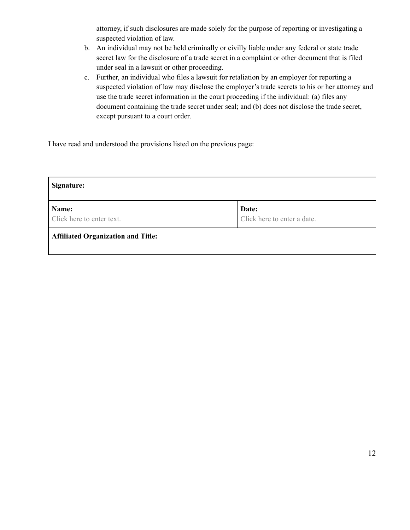attorney, if such disclosures are made solely for the purpose of reporting or investigating a suspected violation of law.

- b. An individual may not be held criminally or civilly liable under any federal or state trade secret law for the disclosure of a trade secret in a complaint or other document that is filed under seal in a lawsuit or other proceeding.
- c. Further, an individual who files a lawsuit for retaliation by an employer for reporting a suspected violation of law may disclose the employer's trade secrets to his or her attorney and use the trade secret information in the court proceeding if the individual: (a) files any document containing the trade secret under seal; and (b) does not disclose the trade secret, except pursuant to a court order.

I have read and understood the provisions listed on the previous page:

| Signature:                                |                                      |
|-------------------------------------------|--------------------------------------|
| Name:<br>Click here to enter text.        | Date:<br>Click here to enter a date. |
| <b>Affiliated Organization and Title:</b> |                                      |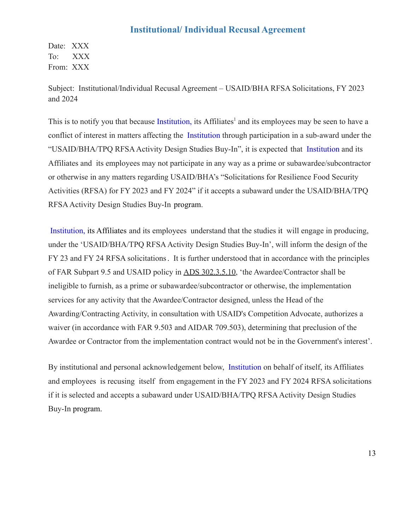#### **Institutional/ Individual Recusal Agreement**

Date: XXX To: XXX From: XXX

Subject: Institutional/Individual Recusal Agreement – USAID/BHA RFSA Solicitations, FY 2023 and 2024

This is to notify you that because Institution, its Affiliates<sup>1</sup> and its employees may be seen to have a conflict of interest in matters affecting the Institution through participation in a sub-award under the "USAID/BHA/TPQ RFSA Activity Design Studies Buy-In", it is expected that Institution and its Affiliates and its employees may not participate in any way as a prime or subawardee/subcontractor or otherwise in any matters regarding USAID/BHA's "Solicitations for Resilience Food Security Activities (RFSA) for FY 2023 and FY 2024" if it accepts a subaward under the USAID/BHA/TPQ RFSAActivity Design Studies Buy-In program.

Institution, its Affiliates and its employees understand that the studies it will engage in producing, under the 'USAID/BHA/TPQ RFSA Activity Design Studies Buy-In', will inform the design of the FY 23 and FY 24 RFSA solicitations. It is further understood that in accordance with the principles of FAR Subpart 9.5 and USAID policy in [ADS 302.3.5.10](https://www.usaid.gov/sites/default/files/documents/302mas.pdf), 'the Awardee/Contractor shall be ineligible to furnish, as a prime or subawardee/subcontractor or otherwise, the implementation services for any activity that the Awardee/Contractor designed, unless the Head of the Awarding/Contracting Activity, in consultation with USAID's Competition Advocate, authorizes a waiver (in accordance with FAR 9.503 and AIDAR 709.503), determining that preclusion of the Awardee or Contractor from the implementation contract would not be in the Government's interest'.

By institutional and personal acknowledgement below, Institution on behalf of itself, its Affiliates and employees is recusing itself from engagement in the FY 2023 and FY 2024 RFSA solicitations if it is selected and accepts a subaward under USAID/BHA/TPQ RFSA Activity Design Studies Buy-In program.